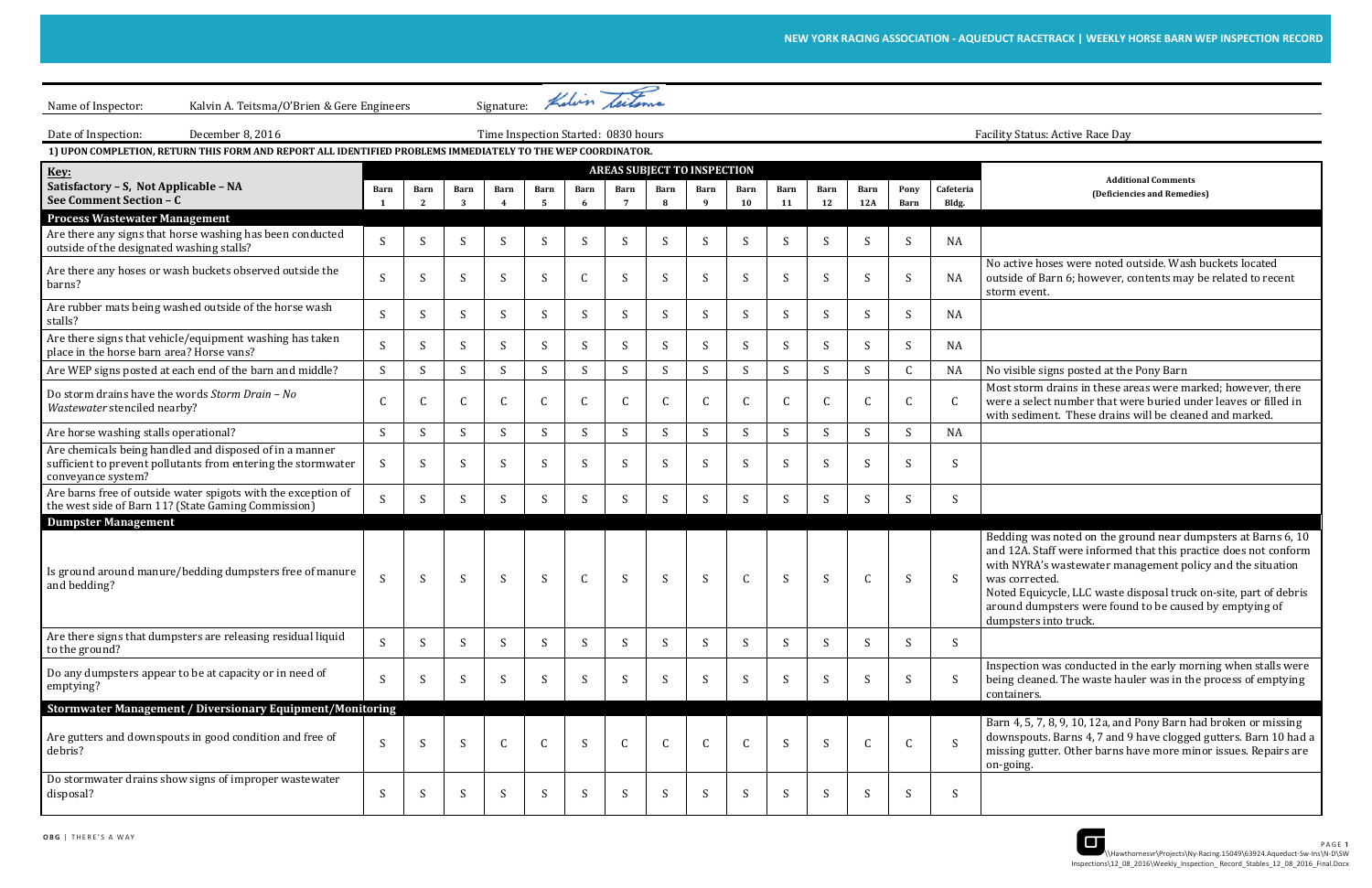Name of Inspector: Kalvin A. Teitsma/O'Brien & Gere Engineers Signature: Kolvin teiterma Date of Inspection: December 8, 2016 Time Inspection Started: 0830 hours Facility Status: Active Race Day 1) UPON COMPLETION, RETURN THIS FORM AND REPORT ALL IDENTIFIED PROBLEMS IMMEDIATELY TO THE WEP COORDINATOR.Key: Satisfactory – S, Not Applicable – NA See Comment Section – C AREAS SUBJECT TO INSPECTIONAdditional Comments (Deficiencies and Remedies) Barn 1 Barn 2 Barn 3 Barn  $\overline{A}$ Barn 5 Barn 6 Barn 7 Barn 8 Barn  $\mathbf q$ Barn 10 Barn 11 Barn 12 Barn 12A Pony Barn Cafeteria Bldg. Process Wastewater ManagementAre there any signs that horse washing has been conducted Are there any signs that horse washing has been conducted<br>outside of the designated washing stalls?<br> $S$  S S S S S S S NA Are there any hoses or wash buckets observed outside the barns? S S S S S C S S S S S S S S NA No active hoses were noted outside. Wash buckets located outside of Barn 6; however, contents may be related to recent storm event. Are rubber mats being washed outside of the horse wash stalls? S S S S S S S S S S S S S S NA Are there signs that vehicle/equipment washing has taken <sup>p</sup>lace in the horse barn area? Horse vans? S S S S S S S S S S S S S S NA Are WEP signs posted at each end of the barn and middle? S S S S S S S S S S S S S C NA No visible signs posted at the Pony Barn Do storm drains have the words Storm Drain – No Wastewater stenciled nearby? C C C C C C C C C C C C C C C Most storm drains in these areas were marked; however, there were a select number that were buried under leaves or filled in with sediment. These drains will be cleaned and marked. Are horse washing stalls operational? S S S S S S S S S S S S S S NA Are chemicals being handled and disposed of in a manner sufficient to prevent pollutants from entering the stormwater conveyance system? S S S S S S S S S S S S S S S Are barns free of outside water spigots with the exception of the west side of Barn 11? (State Gaming Commission) S S S S S S S S S S S S S S S Dumpster ManagementIs ground around manure/bedding dumpsters free of manure and bedding?<br>and bedding? Bedding was noted on the ground near dumpsters at Barns 6, 10 and 12A. Staff were informed that this practice does not conform with NYRA's wastewater management policy and the situation was corrected. Noted Equicycle, LLC waste disposal truck on-site, part of debris around dumpsters were found to be caused by emptying of dumpsters into truck. Are there signs that dumpsters are releasing residual liquid to the ground? S S S S S S S S S S S S S S S Do any dumpsters appear to be at capacity or in need of emptying? S S S S S S S S S S S S S S S Inspection was conducted in the early morning when stalls were being cleaned. The waste hauler was in the process of emptying containers. Stormwater Management / Diversionary Equipment/MonitoringAre gutters and downspouts in good condition and free of debris? S S S C C S C C C C S S C C S Barn 4, 5, 7, 8, 9, 10, 12a, and Pony Barn had broken or missing downspouts. Barns 4, 7 and 9 have clogged gutters. Barn 10 had a missing gutter. Other barns have more minor issues. Repairs are on-going. Do stormwater drains show signs of improper wastewater disposal? S S S S S S S S S S S S S S S